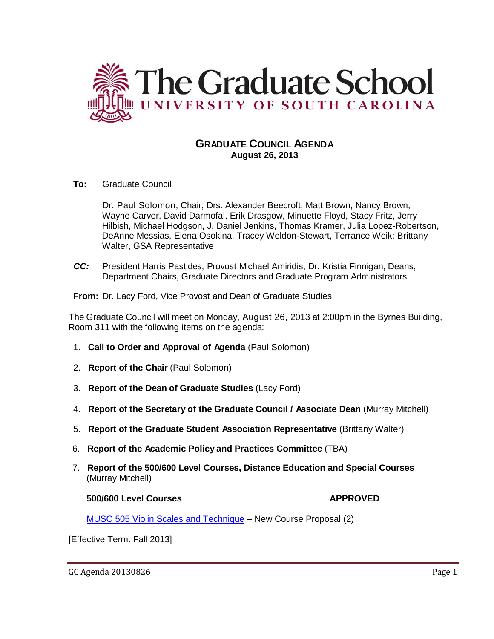

# **GRADUATE COUNCIL AGENDA August 26, 2013**

**To:** Graduate Council

Dr. Paul Solomon, Chair; Drs. Alexander Beecroft, Matt Brown, Nancy Brown, Wayne Carver, David Darmofal, Erik Drasgow, Minuette Floyd, Stacy Fritz, Jerry Hilbish, Michael Hodgson, J. Daniel Jenkins, Thomas Kramer, Julia Lopez-Robertson, DeAnne Messias, Elena Osokina, Tracey Weldon-Stewart, Terrance Weik; Brittany Walter, GSA Representative

*CC:* President Harris Pastides, Provost Michael Amiridis, Dr. Kristia Finnigan, Deans, Department Chairs, Graduate Directors and Graduate Program Administrators

**From:** Dr. Lacy Ford, Vice Provost and Dean of Graduate Studies

The Graduate Council will meet on Monday, August 26, 2013 at 2:00pm in the Byrnes Building, Room 311 with the following items on the agenda:

- 1. **Call to Order and Approval of Agenda** (Paul Solomon)
- 2. **Report of the Chair** (Paul Solomon)
- 3. **Report of the Dean of Graduate Studies** (Lacy Ford)
- 4. **Report of the Secretary of the Graduate Council / Associate Dean** (Murray Mitchell)
- 5. **Report of the Graduate Student Association Representative** (Brittany Walter)
- 6. **Report of the Academic Policy and Practices Committee** (TBA)
- 7. **Report of the 500/600 Level Courses, Distance Education and Special Courses** (Murray Mitchell)

### **500/600 Level Courses APPROVED**

MUSC 505 Violin Scales and Technique – New Course Proposal (2)

[Effective Term: Fall 2013]

GC Agenda 20130826 Page 1